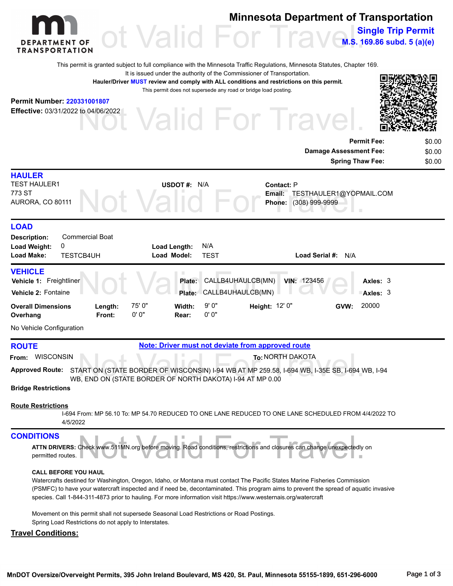

### **Minnesota Department of Transportation**

OF Of Valid For Travels **M.S. 169.86 subd. 5 (a)(e)**

This permit is granted subject to full compliance with the Minnesota Traffic Regulations, Minnesota Statutes, Chapter 169.

It is issued under the authority of the Commissioner of Transportation.

**Hauler/Driver MUST review and comply with ALL conditions and restrictions on this permit.** This permit does not supersede any road or bridge load posting.

#### **Permit Number: 220331001807**

**Effective:** 03/31/2022 to 04/06/2022

Valid For Trave



**Permit Fee:** \$0.00

**Single Trip Permit**

|                                                                    |                                                  |                                                  | <b>Damage Assessment Fee:</b><br><b>Spring Thaw Fee:</b>                             | \$0.00<br>\$0.00 |
|--------------------------------------------------------------------|--------------------------------------------------|--------------------------------------------------|--------------------------------------------------------------------------------------|------------------|
| <b>HAULER</b><br><b>TEST HAULER1</b><br>773 ST<br>AURORA, CO 80111 |                                                  | USDOT #: $N/A$                                   | <b>Contact: P</b><br>TESTHAULER1@YOPMAIL.COM<br>Email:<br>$(308)$ 999-9999<br>Phone: |                  |
| <b>LOAD</b><br><b>Description:</b><br>Load Weight:<br>Load Make:   | <b>Commercial Boat</b><br>0<br><b>TESTORALIH</b> | N/A<br>Load Length:<br>TEST<br><b>Load Model</b> | nad Sarial #:<br>$NI/\Delta$                                                         |                  |

| <b>TESTCB4UH</b><br><b>Load Make:</b>                            |  |                   |                 | Load Model:     | <b>TEST</b>    |                                               | Load Serial #: N/A |      |                          |  |  |  |
|------------------------------------------------------------------|--|-------------------|-----------------|-----------------|----------------|-----------------------------------------------|--------------------|------|--------------------------|--|--|--|
| <b>VEHICLE</b><br>Vehicle 1: Freightliner<br>Vehicle 2: Fontaine |  |                   |                 | Plate:          |                | CALLB4UHAULCB(MN)<br>Plate: CALLB4UHAULCB(MN) | <b>VIN: 123456</b> |      | Axles: $3$<br>Axles: $3$ |  |  |  |
| <b>Overall Dimensions</b><br>Overhang                            |  | Length:<br>Front: | 75' 0"<br>0' 0" | Width:<br>Rear: | 9' 0"<br>0' 0" | Height: $12'0''$                              |                    | GVW: | 20000                    |  |  |  |

No Vehicle Configuration

**ROUTE Note: Driver must not deviate from approved route** 

**From:** WISCONSIN **To:**NORTH DAKOTA

To: NORTH DAKOTA<br>ART ON (STATE BORDER OF WISCONSIN) I-94 WB AT MP 259.58, I-694 WB, I-35E SB, I-694 V<br>3, END ON (STATE BORDER OF NORTH DAKOTA) I-94 AT MP 0.00 Approved Route: START ON (STATE BORDER OF WISCONSIN) I-94 WB AT MP 259.58, I-694 WB, I-35E SB, I-694 WB, I-94 WB, END ON (STATE BORDER OF NORTH DAKOTA) I-94 AT MP 0.00

#### **Bridge Restrictions**

#### **Route Restrictions**

I-694 From: MP 56.10 To: MP 54.70 REDUCED TO ONE LANE REDUCED TO ONE LANE SCHEDULED FROM 4/4/2022 TO 4/5/2022

#### **CONDITIONS**

| <b>DITIONS</b>                                                                                                                                         |  |  |  |  |  |
|--------------------------------------------------------------------------------------------------------------------------------------------------------|--|--|--|--|--|
| DITIONS<br>ATTN DRIVERS: Check www.511MN.org before moving. Road conditions, restrictions and closures can change unexpectedly on<br>permitted routes. |  |  |  |  |  |
|                                                                                                                                                        |  |  |  |  |  |

#### **CALL BEFORE YOU HAUL**

Watercrafts destined for Washington, Oregon, Idaho, or Montana must contact The Pacific States Marine Fisheries Commission (PSMFC) to have your watercraft inspected and if need be, decontaminated. This program aims to prevent the spread of aquatic invasive species. Call 1-844-311-4873 prior to hauling. For more information visit https://www.westernais.org/watercraft

Movement on this permit shall not supersede Seasonal Load Restrictions or Road Postings.

Spring Load Restrictions do not apply to Interstates.

#### **Travel Conditions:**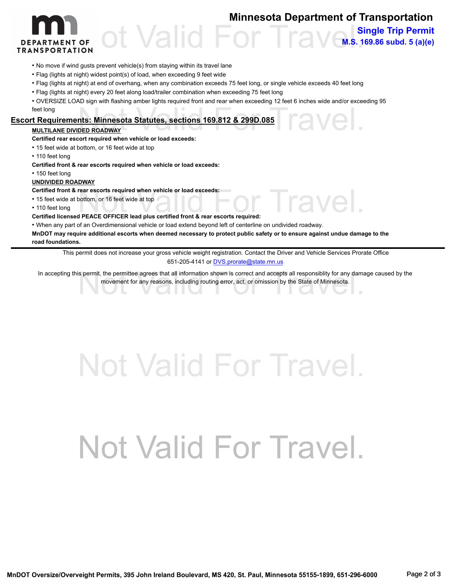### **Minnesota Department of Transportation**

**Single Trip Permit**

**M.S. 169.86 subd. 5 (a)(e)** 

'avel



#### • No move if wind gusts prevent vehicle(s) from staying within its travel lane

- Flag (lights at night) widest point(s) of load, when exceeding 9 feet wide
- Flag (lights at night) at end of overhang, when any combination exceeds 75 feet long, or single vehicle exceeds 40 feet long
- Flag (lights at night) every 20 feet along load/trailer combination when exceeding 75 feet long

nts: Minnesota Statutes, sections 169.812 & 299D.085<br>DED ROADWAY • OVERSIZE LOAD sign with flashing amber lights required front and rear when exceeding 12 feet 6 inches wide and/or exceeding 95 feet long

#### **Escort Requirements: Minnesota Statutes, sections 169.812 & 299D.085**

#### **MULTILANE DIVIDED ROADWAY**

**Certified rear escort required when vehicle or load exceeds:**

• 15 feet wide at bottom, or 16 feet wide at top

• 110 feet long

**Certified front & rear escorts required when vehicle or load exceeds:**

• 150 feet long

#### **UNDIVIDED ROADWAY**

**Certified front & rear escorts required when vehicle or load exceeds:**

- 15 feet wide at bottom, or 16 feet wide at top
- 110 feet long

**Certified licensed PEACE OFFICER lead plus certified front & rear escorts required:**

• When any part of an Overdimensional vehicle or load extend beyond left of centerline on undivided roadway.

**MnDOT may require additional escorts when deemed necessary to protect public safety or to ensure against undue damage to the road foundations.**

This permit does not increase your gross vehicle weight registration. Contact the Driver and Vehicle Services Prorate Office 651-205-4141 or **DVS.prorate@state.mn.us** 

In accepting this permit, the permittee agrees that all information shown is correct and accepts all responsibility for any damage caused by the movement for any reasons, including routing error, act, or omission by the St movement for any reasons, including routing error, act, or omission by the State of Minnesota.

# Not Valid For Travel.

# Not Valid For Travel.